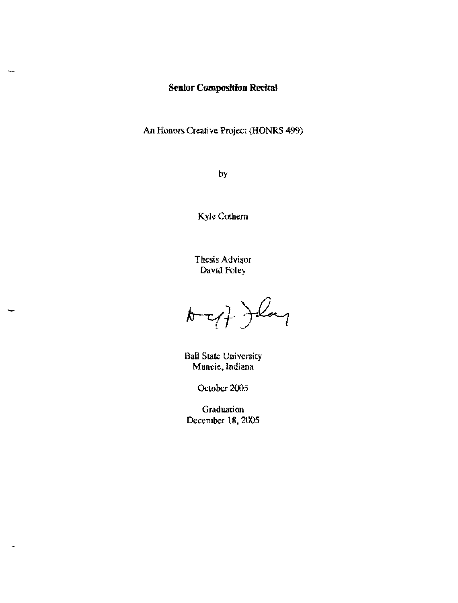# **Senior Composition Recital**

An Honors Creative Project (HONRS 499)

by

Kyle Cothern

Thesis Advisor David Foley

 $\sqrt{2}$ 

**Ball State University Muncie, Indiana** 

October 2005

Graduation December 18, 2005

 $\sim$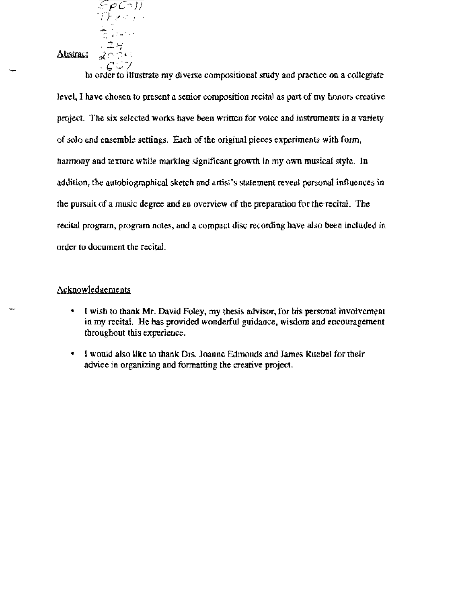<sup>~</sup>'J Abstract

 $5000H$ الراسما فترجل

 $C \supseteq C$  In order to illustrate my diverse compositional study and practice on a collegiate level, I have cbosen to present a senior composition recital as part of my honors creative project. The six selected works have been written for voice and instruments in a variety of soJo and ensemble settings. Eacb of the original pieces experiments with fonn. harmony and texture while marking significant growth in my own musical style. In addition, the autobiographical sketch and artist's statement reveal personal influences in the pursuit of a music degree and an overview of the preparation for the-recital. The recital program, program notes, and a compact disc recording bave also been included in order to document (he recital.

#### ACknowledgements

- I wish to thank Mr. David Foley, my thesis advisor, for his personal involvement in my recital. He has provided wonderful guidance. wisdom and encouragement throughout this experience.
- I would also like to thank Drs. Joanne Edmonds and James Ruebel for their advice in organizing and fonnatting the creative project.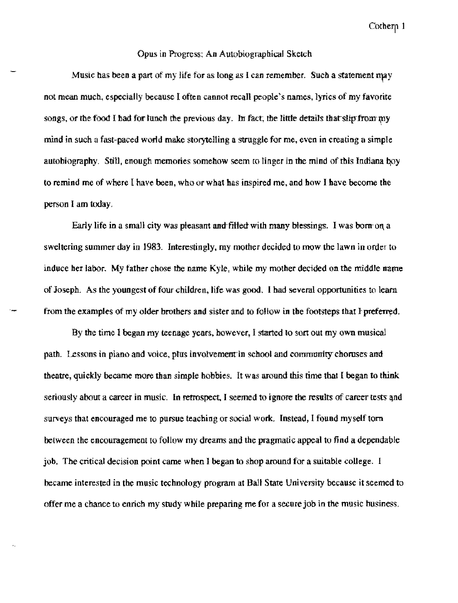#### Opus in Progress: An Autobiographical Sketch

Music has been a part of my life for as long as I can remember. Such a statement may not mean much. especially because I often cannot recall people's names, lyrics of my favorite songs, or the food I had for lunch the previous day. In fact, the little details that slip from my mind in such a fast-paced world make storytelling a struggle for me, even in creating a simple autobiography. Still, enough memories somehow seem to linger in the mind of this Indiana boy to remind me of where I have been, who or what has inspired me, and how I have become the person I am today.

Early life in a small city was pleasant and filled with many blessings. I was born on a sweltering summer day in 1983. Interestingly, my mother decided to mow the lawn in order to induce her labor. My father chose the name Kyle, while my mother decided on the middle name of Joseph. As the youngest of four children, life was good. I had several opportunities to learn from the examples of my older brothers and sister and to follow in the footsteps that I preferred.

By the time 1 began my teenage years. however. I started to sort out my own musical path. Lessons in piano and voice, plus involvement in school and community choruses and theatre, quickly became more than simple hobbies. It was around this time that I began to think seriously about a career in music. In retrospect, I seemed to ignore the results of career tests and surveys that encouraged me to pursue teaching or social work. Instead, I found myself tom between the encouragement to follow my dreams and the pragmatic appeal to find a dependable job. The critical decision point came when I began to shop around for a suitable college. I became interested in the music technology program at Ball State University because it seemed to offer me a chance to enrich my study while preparing me for a secure job in the music business.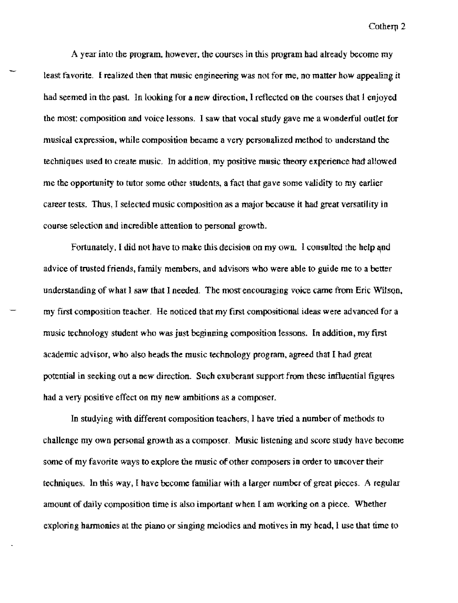A year into tbe program. however. the courses in this program had already become my least favorite. I realized then that music engineering was not for me, no matter how appealing it had seemed in the past. In looking for a new direction, I reflected on the courses that 1 enjoyed the most: composition and voice lessons. I saw that vocal study gave me a wonderful outlet for musical expression, while composition became a very personalized method to understand the techniques used to create music. In addition, my positive music theory experience had allowed me the opportunity to tutor some other students, a fact that gave some validity to my earlier career tests. Thus, I selected music composition as a major because it had great versatility in course selection and incredible attention to persona) growth.

Fortunately. I did not have to make this decision on my own. I consulted the help and advice of trusted friends, family members, and advisors who were able to guide me to a better understanding of what I saw that I needed. The most encouraging voice came from Eric Wilson, my first composition teacher. He noticed that my first compositional ideas were advanced for a music technoJogy student who was just beginning composition lessons. In addition. my first academic advisor, who also heads the music technology program, agreed that I had great potential in seeking out a new direction. Such exuberant support from these influential figqres had a very positive effect on my new ambitions as a composer.

In studying with different composition teachers, I have tried a number of methods to challenge my own personal growth as a composer. Music listening and score study have become some of my favorite ways to explore the music of other composers in order to uncover their techniques. In this way, I have become familiar with a larger number of great pieces. A regular amount of daily composition time is also important when I am working on a piece. Whether exploring barmonies at the piano or singing meiodies and motives in my bead, I use that time to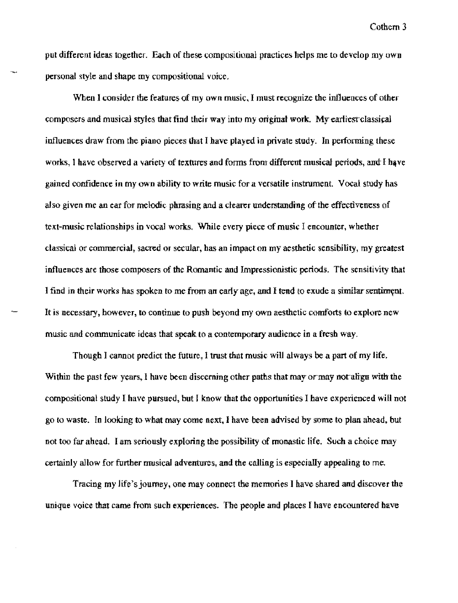put different ideas together. Each of these compositional practices helps me to develop my own personal style and shape my compositional voice.

When I consider the features of my own music. I must recognize the influences of other composers and musical styles that find their way into my original work. My earliest classical influences draw from the piano pieces that I have played in private study. In performing these works, I have observed a variety of textures and forms from different musical periods, and I have gained confidence in my own ability to write music for a versatile instrument. Vocal study has also given me an ear for melodic phrasing and a clearer understanding of the effectiveness of text-music relationships in vocal works. \Vhile every piece of music I encounter, whether clamcal or commercial, sacred or secular, has an impact on my aesthetic sensibility, my greatest influences are those composers of the Romantic and Impressionistic periods. The sensitivity that I find in their works has spoken to me from an early age, and I tend to exude a similar sentiment. It is necessary. however, ro continue to push beyond my own aesthetic comforts to explore new music and communicate ideas that speak to a contemporary audience in a fresh way.

Though I cannot predict the future. I trust that music will always be a part of my life. Within the past few years, I have been discerning other paths that may or may not align with the compositional study I have pursued. hut I know that the opportunities I have experienced will not go to waste. In looking to what may come next, I have been advised by some to plan ahead. but not too far ahead. I am seriously exploring the possibility of monastic life. Such a choice may certainly allow for further musical adventures, and the calling is especially appealing to me.

Tracing my life's journey, one may connect the memories I have shared and discover the unique voice that came from such experiences. The people and places I bave encountered have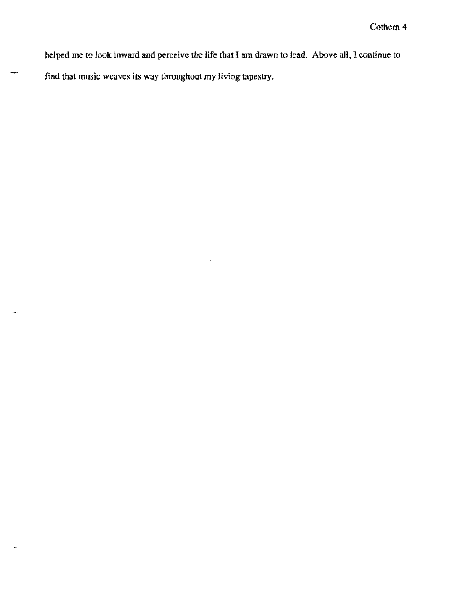helped me to look inward and perceive the life that I am drawn to lead. Above all, I continue to find that music weaves its way throughout my living tapestry.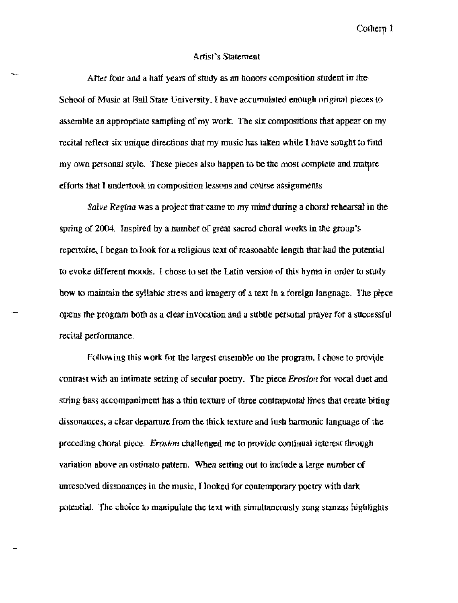#### Artist's Statement

After four and a half years of study as an honors composition student in the School of Music at Ball State University, I have accumulated enough original pieces to assemble an appropriate sampling of my work. The six compositions that appear on my recital reflect sir unique directions that my music bas taken while I have sought to find my own personal style. These pieces also happen to be the most complete and mature efforts that I undertook in composition lessons and course assignments.

*Salve Regina* was a project that came to my mind during a choral rehearsal in the spring of 2004. Inspired by a number of great sacred choral works in the group's repertoire, I began to look for a religious text of reasonable length that had the potential to evoke different moods. I chose to set the Latin version of this hymn in order to study how to maintain the syllabic stress and imagery of a text in a foreign language. The piece opens the program both as a clear invocation and a subtle personal prayer for a successful recital performance,

Following this work for the largest ensemble on the program. I chose to provide contrast with an intimate setting of secular poetry. The piece *Erosion* for vocal duet and string bass accompaniment has a thin texture of three contrapuntal lines that create biting dissonances, a clear departure from the thick texture and lush hannonic language of the preceding choral piece. *Erosion* challenged me to provide continual interest through variation above an ostinato pattern. When setting out to include a large number of unresolved dissonances in the music. I looked for contemporary poetry witb dark potential. The choice to manipulate tbe text with simultaneously sung stanzas highlights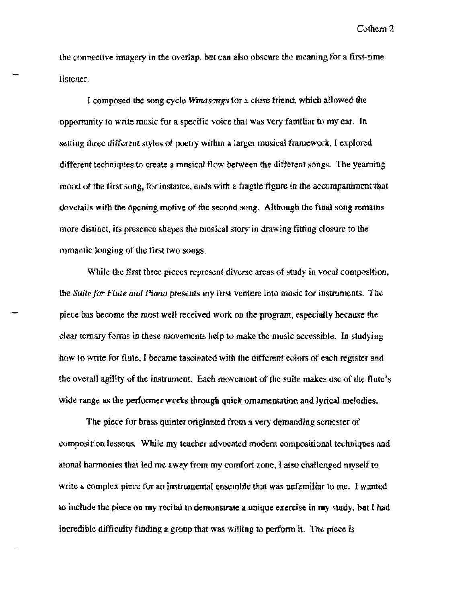the connective imagery in the overlap. but can abo obscure the meaning for a first-time listener.

I composed the song cycle Windsongs for a close friend, which allowed the opportunity to write music for a specific voice that was very familiar to my ear. In setting three different styles of poetry within a larger musical framework:, I explored different techniques to create a musical flow between the different songs. The yearning mood of the first song, for instance, ends with a fragile figure in the accompaniment that dovetails with the opening motive of the second song. Although the final song remains more distinct, its presence shapes tbe musical story in drawing fitting closure to the romantic longing of the first two songs.

While the first three pieces represent diverse areas of study in vocal composition, the *SUite for Flute* and *l'iarw* presents my first venture into music for instruments. The piece bas become the most welf received wort on the program, especially because the clear ternary fonns in these movements help to make the music accessible. In studying how to write for flute. I became fascinated with the different colors of each register and the overall agility of the instrument. Each movement of the suite makes use of the flute's wide range as the performer works through qnick ornamentation and lyrical melodies.

The piece for brass quintet originated from a very demanding semester of composition lessons. While my teacher advocated modern compositional techniques and atonal harmonies that led me away from my comfort zone, I also challenged myself to write a compiex piece for an instrumental ensemble that was unfamiliar to me. I wanted to include the piece on my recital to demonstrate a unique exercise in my study, but I had incredible difficulty finding a group that was willing to perform it. The piece is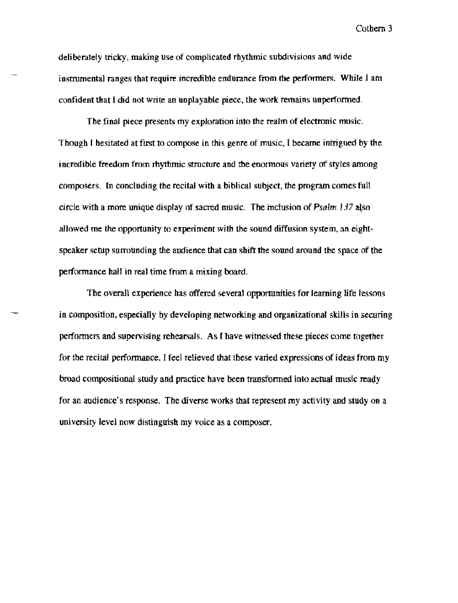deliberately tricky, making use of complicated rhythmic subdivisions and wide instrumental ranges that require incredible endurance from the performers. While I am confident that I did not write an unplayable piece, the work remains unperformed.

The final pjece presents my exploration into the realm of electronic music. Though I hesitated at first to compose in this genre of music, I became intrigued by the incredible freedom from rhythmic structure and the enormous variety of styles among composers. In concluding the recital with a biblical subject, the program comes fult circle with a more unique display of sacred music. The inclusion of  $Psalm$   $J37$  also allowed me the opportunity to experiment with the sound diffusion system, an eightspeaker setup surrounding the audience that can shift the sound around the space of the performance hall in real time from a mixing board.

The overall experience bas offered several opportunities for learning life lessons in composition, especially by developing networking and organizational skills in securing performers and supervising rehearsals. As I have witnessed these pieces come together for the recital performance. I feel relieved that these varied expressions of ideas from my broad compositional study and practice have been transformed into actual music ready for an audience's response. The diverse works that represent my activity and study on a university level now djstinguish my voice as a composer.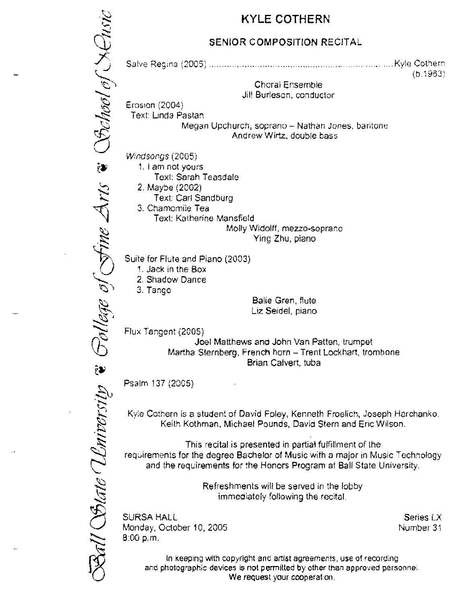# KYLE COTHERN

# SENIOR COMPOSITION RECITAL

Sollege of Sine Arts & Stochool of SChoic \_\_ Kyle Cotner::  $(b.1983)$ Choral Ensemble Jill Burlesan, conductor Erosion  $(2004)$ Text: Linda Pastan Megan Upchurch, soprano - Nathan Jones. baritone Andrew Wirtz, double bass Windsongs (2005) 1, I am not yours Texl: Sarah Teasdale 2. Maybe (2002) Text: Carl Sandburg 3. Chamomile Tea Text: Katherine Mansfield Molly Widolff, mezzo-soprano Ying Zhu, piano Suite for Flute and Piano (2003) 1. Jack In the Box 2. Shadow Dance 3. Tango Balie Gren, flute Liz Seidel, piano Flux Tangent (2005) Joel Matthews and John Van Patten, trumpet Martha Sternberg, French horn - Trent Lockhart, trombone Brian Calvert, tuba Ball Solate Whitersity Psalm 137 (20G5) Kyle Cothern is a student of David Foley, Kenneth Froelich, Joseph Harchanko. Keith Kathman, Michael Pounds, Davia Stern and Enc Wilson. This recital is presented in partial fulfillment of the requirements for the degree Bachelor of Music with a major in Music Technology and the requirements for the Honors Program at Ball State University. Refreshments will be served in the lobby immediately following the recital. SURSA HALL Series LX Monday, October 10, 2005 Number 31 8:00 p.m. In keeping with copyright and artist agreements, use of recording and photographic devices is not permitted by other than approved personnel.

**We** request your cooperation.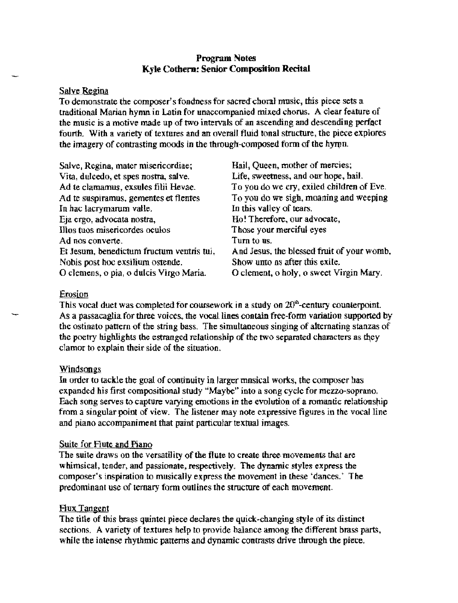# Program Notes Kyle Cothern: Senior Composition Recital

#### Salve Regina

To demonstrate the composer's fondness for sacred choral music. this piece sets a traditional Marian hymn in Latin for unaccompanied mixed chorus. A clear feature of the music is a motive made up of two intervals of an ascending and descending perfact fourth. With a variety of textures and an overaU fluid tonal structure, the piece explores the imagery of contrasting moods in the through-composed form of the hymn.

| Salve, Regina, mater misericordiae;       | Hail, Queen, mother of mercies;            |
|-------------------------------------------|--------------------------------------------|
| Vita, dulcedo, et spes nostra, salve.     | Life, sweetness, and our hope, hail.       |
| Ad te clamamus, exsules filii Hevae.      | To you do we cry, exiled children of Eve.  |
| Ad te suspiramus, gementes et flentes     | To you do we sigh, moaning and weeping     |
| In hac lacrymarum valle.                  | In this valley of tears.                   |
| Eja ergo, advocata nostra,                | Ho! Therefore, our advocate,               |
| Illos tuos misericordes oculos            | Those your merciful eyes                   |
| Ad nos converte.                          | Turn to us.                                |
| Et Jesum, benedictum fructum ventris tui, | And Jesus, the blessed fruit of your womb, |
| Nobis post hoc exsilium ostende.          | Show unto as after this exile.             |
| O clemens, o pia, o dulcis Virgo Maria.   | O clement, o holy, o sweet Virgin Mary.    |

#### Erosion

This vocal duet was completed for coursework in a study on  $20<sup>o</sup>$ -century counterpoint. As a passacaglia for three voices, the vocal lines contain free-form variation supported by the ostinato pattern of the string bass. The simultaneous singing of alternating stanzas of the poetry highlights the estranged relationship of the two separated characters as they clamor to explain their side of the situation.

#### <u>Windsongs</u>

In order to tackle the goal of continuity in larger mnsical worts, the composer bas expanded his first compositional study "Maybe" into a song cycle for mezzo-soprano, Each song serves to capture varying emotions in the evolution of a romantic relationship from a singular point of view. The listener may note expressive figures in the vocal line and piano accompaniment that paint particular textual images.

# Suite for Flute and Piano

The suite draws on the versatility of the flute to create three movements that are whimsical, tender, and passionate, respectively. The dynamic styles express the composer's inspiration to musically express the movement in these 'dances.' The predominant use of ternary form outlines the structure of each movement.

# **Flux Tangent**

The title of this brass quintet piece declares the quick-changing style of its distinct sections, A variety of textures help to provide balance among the different brass parts. while the intense rhythmic patterns and dynamic contrasts drive through the piece.